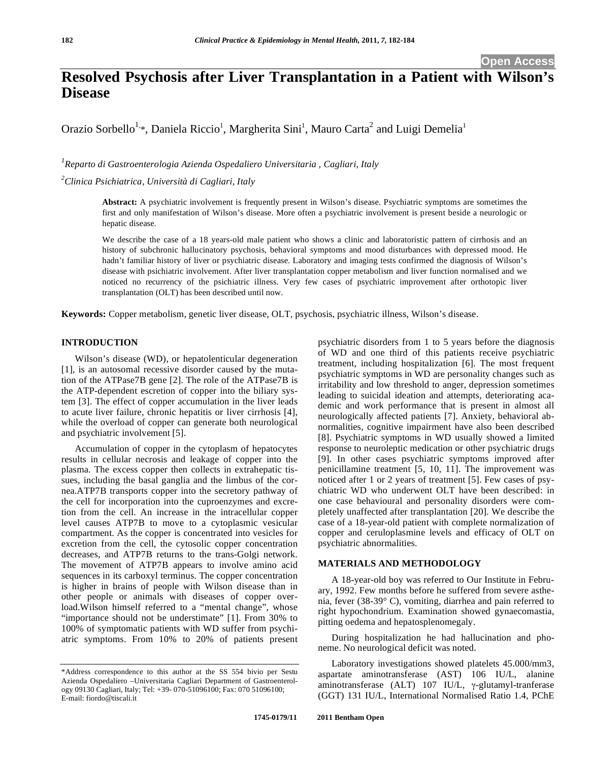# **Resolved Psychosis after Liver Transplantation in a Patient with Wilson's Disease**

Orazio Sorbello<sup>1,\*</sup>, Daniela Riccio<sup>1</sup>, Margherita Sini<sup>1</sup>, Mauro Carta<sup>2</sup> and Luigi Demelia<sup>1</sup>

*1 Reparto di Gastroenterologia Azienda Ospedaliero Universitaria , Cagliari, Italy* 

*2 Clinica Psichiatrica, Università di Cagliari, Italy* 

**Abstract:** A psychiatric involvement is frequently present in Wilson's disease. Psychiatric symptoms are sometimes the first and only manifestation of Wilson's disease. More often a psychiatric involvement is present beside a neurologic or hepatic disease.

We describe the case of a 18 years-old male patient who shows a clinic and laboratoristic pattern of cirrhosis and an history of subchronic hallucinatory psychosis, behavioral symptoms and mood disturbances with depressed mood. He hadn't familiar history of liver or psychiatric disease. Laboratory and imaging tests confirmed the diagnosis of Wilson's disease with psichiatric involvement. After liver transplantation copper metabolism and liver function normalised and we noticed no recurrency of the psichiatric illness. Very few cases of psychiatric improvement after orthotopic liver transplantation (OLT) has been described until now.

**Keywords:** Copper metabolism, genetic liver disease, OLT, psychosis, psychiatric illness, Wilson's disease.

## **INTRODUCTION**

Wilson's disease (WD), or hepatolenticular degeneration [1], is an autosomal recessive disorder caused by the mutation of the ATPase7B gene [2]. The role of the ATPase7B is the ATP-dependent escretion of copper into the biliary system [3]. The effect of copper accumulation in the liver leads to acute liver failure, chronic hepatitis or liver cirrhosis [4], while the overload of copper can generate both neurological and psychiatric involvement [5].

Accumulation of copper in the cytoplasm of hepatocytes results in cellular necrosis and leakage of copper into the plasma. The excess copper then collects in extrahepatic tissues, including the basal ganglia and the limbus of the cornea.ATP7B transports copper into the secretory pathway of the cell for incorporation into the cuproenzymes and excretion from the cell. An increase in the intracellular copper level causes ATP7B to move to a cytoplasmic vesicular compartment. As the copper is concentrated into vesicles for excretion from the cell, the cytosolic copper concentration decreases, and ATP7B returns to the trans-Golgi network. The movement of ATP7B appears to involve amino acid sequences in its carboxyl terminus. The copper concentration is higher in brains of people with Wilson disease than in other people or animals with diseases of copper overload.Wilson himself referred to a "mental change", whose "importance should not be understimate" [1]. From 30% to 100% of symptomatic patients with WD suffer from psychiatric symptoms. From 10% to 20% of patients present

psychiatric disorders from 1 to 5 years before the diagnosis of WD and one third of this patients receive psychiatric treatment, including hospitalization [6]. The most frequent psychiatric symptoms in WD are personality changes such as irritability and low threshold to anger, depression sometimes leading to suicidal ideation and attempts, deteriorating academic and work performance that is present in almost all neurologically affected patients [7]. Anxiety, behavioral abnormalities, cognitive impairment have also been described [8]. Psychiatric symptoms in WD usually showed a limited response to neuroleptic medication or other psychiatric drugs [9]. In other cases psychiatric symptoms improved after penicillamine treatment [5, 10, 11]. The improvement was noticed after 1 or 2 years of treatment [5]. Few cases of psychiatric WD who underwent OLT have been described: in one case behavioural and personality disorders were completely unaffected after transplantation [20]. We describe the case of a 18-year-old patient with complete normalization of copper and ceruloplasmine levels and efficacy of OLT on psychiatric abnormalities.

### **MATERIALS AND METHODOLOGY**

A 18-year-old boy was referred to Our Institute in February, 1992. Few months before he suffered from severe asthenia, fever (38-39° C), vomiting, diarrhea and pain referred to right hypochondrium. Examination showed gynaecomastia, pitting oedema and hepatosplenomegaly.

During hospitalization he had hallucination and phoneme. No neurological deficit was noted.

Laboratory investigations showed platelets 45.000/mm3, aspartate aminotransferase (AST) 106 IU/L, alanine aminotransferase (ALT)  $107$  IU/L,  $\gamma$ -glutamyl-tranferase (GGT) 131 IU/L, International Normalised Ratio 1.4, PChE

<sup>\*</sup>Address correspondence to this author at the SS 554 bivio per Sestu Azienda Ospedaliero –Universitaria Cagliari Department of Gastroenterology 09130 Cagliari, Italy; Tel: +39- 070-51096100; Fax: 070 51096100; E-mail: fiordo@tiscali.it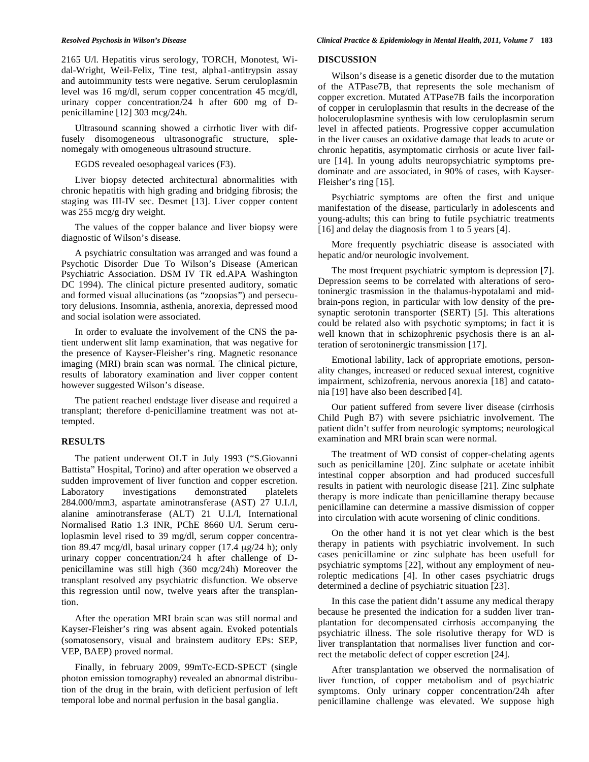2165 U/l. Hepatitis virus serology, TORCH, Monotest, Widal-Wright, Weil-Felix, Tine test, alpha1-antitrypsin assay and autoimmunity tests were negative. Serum ceruloplasmin level was 16 mg/dl, serum copper concentration 45 mcg/dl, urinary copper concentration/24 h after 600 mg of Dpenicillamine [12] 303 mcg/24h.

Ultrasound scanning showed a cirrhotic liver with diffusely disomogeneous ultrasonografic structure, splenomegaly with omogeneous ultrasound structure.

EGDS revealed oesophageal varices (F3).

Liver biopsy detected architectural abnormalities with chronic hepatitis with high grading and bridging fibrosis; the staging was III-IV sec. Desmet [13]. Liver copper content was 255 mcg/g dry weight.

The values of the copper balance and liver biopsy were diagnostic of Wilson's disease.

A psychiatric consultation was arranged and was found a Psychotic Disorder Due To Wilson's Disease (American Psychiatric Association. DSM IV TR ed.APA Washington DC 1994). The clinical picture presented auditory, somatic and formed visual allucinations (as "zoopsias") and persecutory delusions. Insomnia, asthenia, anorexia, depressed mood and social isolation were associated.

In order to evaluate the involvement of the CNS the patient underwent slit lamp examination, that was negative for the presence of Kayser-Fleisher's ring. Magnetic resonance imaging (MRI) brain scan was normal. The clinical picture, results of laboratory examination and liver copper content however suggested Wilson's disease.

The patient reached endstage liver disease and required a transplant; therefore d-penicillamine treatment was not attempted.

### **RESULTS**

The patient underwent OLT in July 1993 ("S.Giovanni Battista" Hospital, Torino) and after operation we observed a sudden improvement of liver function and copper escretion. Laboratory investigations demonstrated platelets 284.000/mm3, aspartate aminotransferase (AST) 27 U.I./l, alanine aminotransferase (ALT) 21 U.I./l, International Normalised Ratio 1.3 INR, PChE 8660 U/l. Serum ceruloplasmin level rised to 39 mg/dl, serum copper concentration 89.47 mcg/dl, basal urinary copper (17.4 μg/24 h); only urinary copper concentration/24 h after challenge of Dpenicillamine was still high (360 mcg/24h) Moreover the transplant resolved any psychiatric disfunction. We observe this regression until now, twelve years after the transplantion.

After the operation MRI brain scan was still normal and Kayser-Fleisher's ring was absent again. Evoked potentials (somatosensory, visual and brainstem auditory EPs: SEP, VEP, BAEP) proved normal.

Finally, in february 2009, 99mTc-ECD-SPECT (single photon emission tomography) revealed an abnormal distribution of the drug in the brain, with deficient perfusion of left temporal lobe and normal perfusion in the basal ganglia.

### **DISCUSSION**

Wilson's disease is a genetic disorder due to the mutation of the ATPase7B, that represents the sole mechanism of copper excretion. Mutated ATPase7B fails the incorporation of copper in ceruloplasmin that results in the decrease of the holoceruloplasmine synthesis with low ceruloplasmin serum level in affected patients. Progressive copper accumulation in the liver causes an oxidative damage that leads to acute or chronic hepatitis, asymptomatic cirrhosis or acute liver failure [14]. In young adults neuropsychiatric symptoms predominate and are associated, in 90% of cases, with Kayser-Fleisher's ring [15].

Psychiatric symptoms are often the first and unique manifestation of the disease, particularly in adolescents and young-adults; this can bring to futile psychiatric treatments [16] and delay the diagnosis from 1 to 5 years [4].

More frequently psychiatric disease is associated with hepatic and/or neurologic involvement.

The most frequent psychiatric symptom is depression [7]. Depression seems to be correlated with alterations of serotoninergic trasmission in the thalamus-hypotalami and midbrain-pons region, in particular with low density of the presynaptic serotonin transporter (SERT) [5]. This alterations could be related also with psychotic symptoms; in fact it is well known that in schizophrenic psychosis there is an alteration of serotoninergic transmission [17].

Emotional lability, lack of appropriate emotions, personality changes, increased or reduced sexual interest, cognitive impairment, schizofrenia, nervous anorexia [18] and catatonia [19] have also been described [4].

Our patient suffered from severe liver disease (cirrhosis Child Pugh B7) with severe psichiatric involvement. The patient didn't suffer from neurologic symptoms; neurological examination and MRI brain scan were normal.

The treatment of WD consist of copper-chelating agents such as penicillamine [20]. Zinc sulphate or acetate inhibit intestinal copper absorption and had produced succesfull results in patient with neurologic disease [21]. Zinc sulphate therapy is more indicate than penicillamine therapy because penicillamine can determine a massive dismission of copper into circulation with acute worsening of clinic conditions.

On the other hand it is not yet clear which is the best therapy in patients with psychiatric involvement. In such cases penicillamine or zinc sulphate has been usefull for psychiatric symptoms [22], without any employment of neuroleptic medications [4]. In other cases psychiatric drugs determined a decline of psychiatric situation [23].

In this case the patient didn't assume any medical therapy because he presented the indication for a sudden liver tranplantation for decompensated cirrhosis accompanying the psychiatric illness. The sole risolutive therapy for WD is liver transplantation that normalises liver function and correct the metabolic defect of copper escretion [24].

After transplantation we observed the normalisation of liver function, of copper metabolism and of psychiatric symptoms. Only urinary copper concentration/24h after penicillamine challenge was elevated. We suppose high